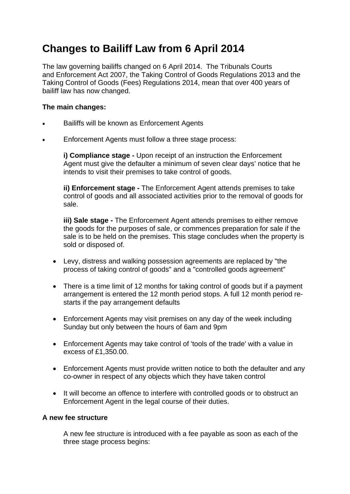## **Changes to Bailiff Law from 6 April 2014**

The law governing bailiffs changed on 6 April 2014. The Tribunals Courts and Enforcement Act 2007, the Taking Control of Goods Regulations 2013 and the Taking Control of Goods (Fees) Regulations 2014, mean that over 400 years of bailiff law has now changed.

## **The main changes:**

- Bailiffs will be known as Enforcement Agents
- Enforcement Agents must follow a three stage process:

**i) Compliance stage -** Upon receipt of an instruction the Enforcement Agent must give the defaulter a minimum of seven clear days' notice that he intends to visit their premises to take control of goods.

**ii) Enforcement stage -** The Enforcement Agent attends premises to take control of goods and all associated activities prior to the removal of goods for sale.

**iii) Sale stage -** The Enforcement Agent attends premises to either remove the goods for the purposes of sale, or commences preparation for sale if the sale is to be held on the premises. This stage concludes when the property is sold or disposed of.

- Levy, distress and walking possession agreements are replaced by "the process of taking control of goods" and a "controlled goods agreement"
- There is a time limit of 12 months for taking control of goods but if a payment arrangement is entered the 12 month period stops. A full 12 month period restarts if the pay arrangement defaults
- Enforcement Agents may visit premises on any day of the week including Sunday but only between the hours of 6am and 9pm
- Enforcement Agents may take control of 'tools of the trade' with a value in excess of £1,350.00.
- Enforcement Agents must provide written notice to both the defaulter and any co-owner in respect of any objects which they have taken control
- It will become an offence to interfere with controlled goods or to obstruct an Enforcement Agent in the legal course of their duties.

## **A new fee structure**

A new fee structure is introduced with a fee payable as soon as each of the three stage process begins: